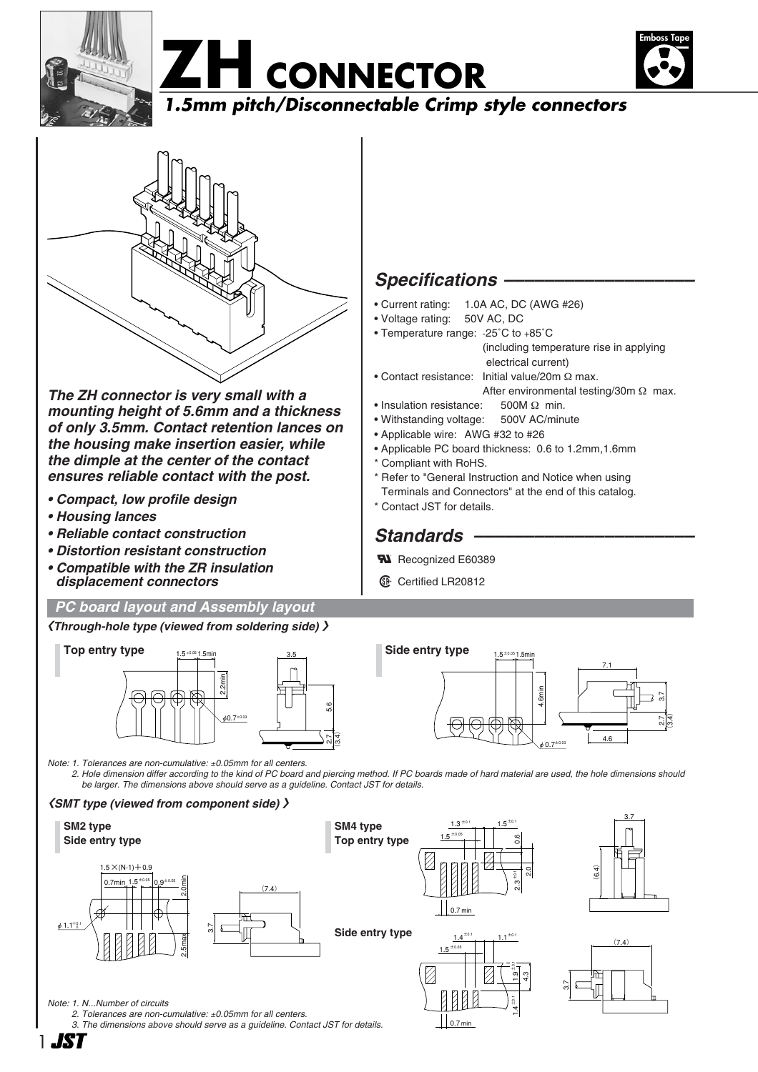







*The ZH connector is very small with a mounting height of 5.6mm and a thickness of only 3.5mm. Contact retention lances on the housing make insertion easier, while the dimple at the center of the contact ensures reliable contact with the post.*

- *Compact, low profile design*
- *Housing lances*
- *Reliable contact construction*
- *Distortion resistant construction*
- *Compatible with the ZR insulation displacement connectors*

#### *PC board layout and Assembly layout*

#### **〈***Through-hole type (viewed from soldering side)* **〉**



*Note: 1. Tolerances are non-cumulative:* ±*0.05mm for all centers.*

*2. Hole dimension differ according to the kind of PC board and piercing method. If PC boards made of hard material are used, the hole dimensions should be larger. The dimensions above should serve as a guideline. Contact JST for details.*

#### **〈***SMT type (viewed from component side)* **〉**



*2. Tolerances are non-cumulative:* ±*0.05mm for all centers.*

1

*3. The dimensions above should serve as a guideline. Contact JST for details.*

### *Specifications –––––––––––––––––––*

- Current rating: 1.0A AC, DC (AWG #26)
- Voltage rating: 50V AC, DC
- Temperature range: -25˚C to +85˚C (including temperature rise in applying electrical current)
- Contact resistance: Initial value/20m Ω max.
	- After environmental testing/30m Ω max.
- Insulation resistance: 500M Ω min.
- Withstanding voltage: 500V AC/minute
- Applicable wire: AWG #32 to #26
- Applicable PC board thickness: 0.6 to 1.2mm,1.6mm
- \* Compliant with RoHS.
- \* Refer to "General Instruction and Notice when using
- Terminals and Connectors" at the end of this catalog.
- \* Contact JST for details.

### *Standards ––––––––––––––––––––––*

- **W** Recognized E60389
- **1** Certified LR20812

 $\bigcup_{0.7 \text{ min}}$ 



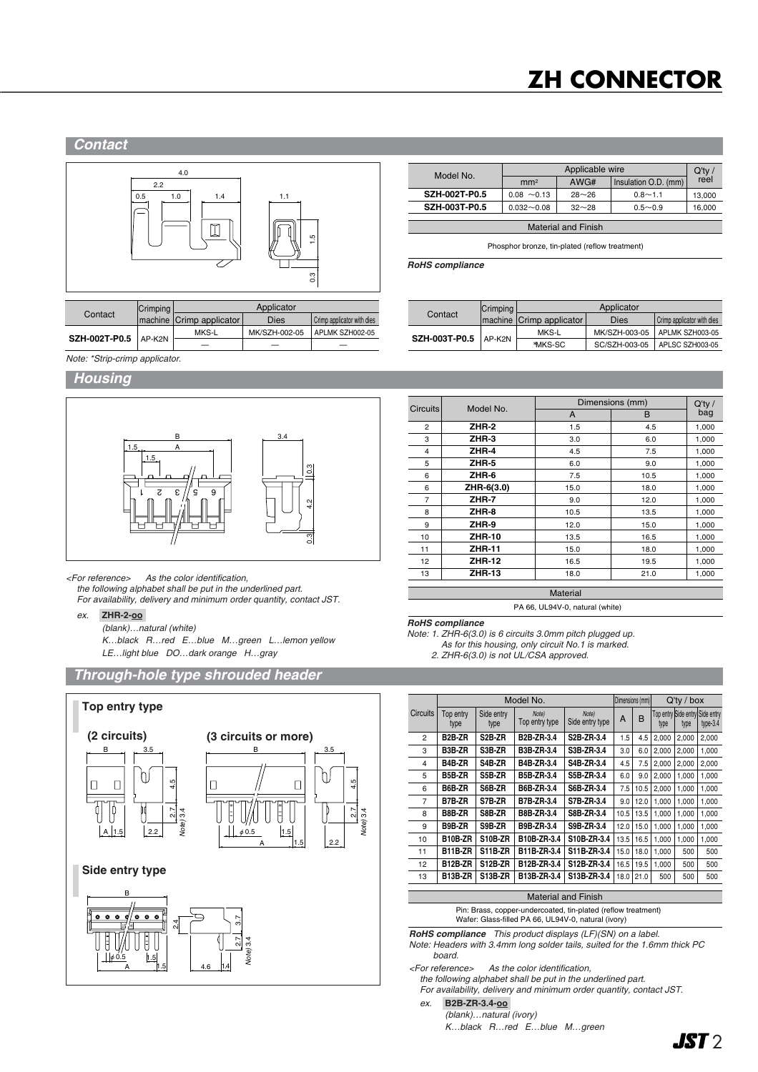## **ZH CONNECTOR**

#### *Contact*



|               | Crimping | Applicator               |               |                            |  |
|---------------|----------|--------------------------|---------------|----------------------------|--|
| Contact       |          | machine Crimp applicator | Dies          | Crimp applicator with dies |  |
|               |          | MKS-L                    | MK/SZH-002-05 | APLMK SZH002-05            |  |
| SZH-002T-P0.5 | $AP-K2N$ |                          |               |                            |  |

| Model No.                  |                  | $Q'$ ty / |                      |        |  |  |  |  |
|----------------------------|------------------|-----------|----------------------|--------|--|--|--|--|
|                            | mm <sup>2</sup>  | AWG#      | Insulation O.D. (mm) | reel   |  |  |  |  |
| <b>SZH-002T-P0.5</b>       | $0.08 \sim 0.13$ | $28 - 26$ | $0.8 - 1.1$          | 13.000 |  |  |  |  |
| <b>SZH-003T-P0.5</b>       | $0.032 - 0.08$   | $32 - 28$ | $0.5 - 0.9$          | 16,000 |  |  |  |  |
|                            |                  |           |                      |        |  |  |  |  |
| <b>Material and Finish</b> |                  |           |                      |        |  |  |  |  |

Phosphor bronze, tin-plated (reflow treatment)

*RoHS compliance*

|                        | Crimping | Applicator               |               |                            |  |  |
|------------------------|----------|--------------------------|---------------|----------------------------|--|--|
| Contact                |          | machine Crimp applicator | <b>Dies</b>   | Crimp applicator with dies |  |  |
| SZH-003T-P0.5   AP-K2N |          | MKS-L                    | MK/SZH-003-05 | APLMK SZH003-05            |  |  |
|                        |          | *MKS-SC                  | SC/SZH-003-05 | APLSC SZH003-05            |  |  |

*Note: \*Strip-crimp applicator.*

#### *Housing*



*<For reference> As the color identification, the following alphabet shall be put in the underlined part. For availability, delivery and minimum order quantity, contact JST.*

*ex.* **ZHR-2-oo-**

*(blank)…natural (white)*

*K…black R…red E…blue M…green L…lemon yellow LE…light blue DO…dark orange H…gray*





|                 | Model No.     | Dimensions (mm) | $Q'$ ty / |       |
|-----------------|---------------|-----------------|-----------|-------|
| <b>Circuits</b> |               | A               | B         | bag   |
| 2               | ZHR-2         | 1.5             | 4.5       | 1.000 |
| 3               | ZHR-3         | 3.0             | 6.0       | 1,000 |
| 4               | ZHR-4         | 4.5             | 7.5       | 1,000 |
| 5               | ZHR-5         | 6.0             | 9.0       | 1,000 |
| 6               | ZHR-6         | 7.5             | 10.5      | 1,000 |
| 6               | ZHR-6(3.0)    | 15.0            | 18.0      | 1,000 |
| 7               | ZHR-7         | 9.0             | 12.0      | 1,000 |
| 8               | ZHR-8         | 10.5            | 13.5      | 1,000 |
| 9               | ZHR-9         | 12.0            | 15.0      | 1,000 |
| 10              | <b>ZHR-10</b> | 13.5            | 16.5      | 1,000 |
| 11              | <b>ZHR-11</b> | 15.0            | 18.0      | 1,000 |
| 12 <sup>2</sup> | <b>ZHR-12</b> | 16.5            | 19.5      | 1,000 |
| 13              | <b>ZHR-13</b> | 18.0            | 21.0      | 1,000 |
|                 |               | <b>Material</b> |           |       |

PA 66, UL94V-0, natural (white)

*RoHS compliance*

*Note: 1. ZHR-6(3.0) is 6 circuits 3.0mm pitch plugged up.*

*As for this housing, only circuit No.1 is marked.*

*2. ZHR-6(3.0) is not UL/CSA approved.*

|                 | Model No.         |                     |                         | Dimensions (mm)          |      | $Q'$ ty / box |       |       |                                             |
|-----------------|-------------------|---------------------|-------------------------|--------------------------|------|---------------|-------|-------|---------------------------------------------|
| <b>Circuits</b> | Top entry<br>type | Side entry<br>type  | Note)<br>Top entry type | Note)<br>Side entry type | A    | B             | type  | type  | Top entry Side entry Side entry<br>type-3.4 |
| $\overline{2}$  | B2B-ZR            | S <sub>2</sub> B-ZR | B2B-ZR-3.4              | S2B-ZR-3.4               | 1.5  | 4.5           | 2,000 | 2.000 | 2,000                                       |
| 3               | B3B-ZR            | S3B-ZR              | B3B-ZR-3.4              | S3B-ZR-3.4               | 3.0  | 6.0           | 2.000 | 2.000 | 1.000                                       |
| 4               | B4B-ZR            | S4B-ZR              | B4B-ZR-3.4              | S4B-ZR-3.4               | 4.5  | 7.5           | 2,000 | 2.000 | 2,000                                       |
| 5               | B5B-ZR            | S5B-ZR              | B5B-ZR-3.4              | S5B-ZR-3.4               | 6.0  | 9.0           | 2.000 | 1.000 | 1.000                                       |
| 6               | B6B-ZR            | S6B-ZR              | B6B-ZR-3.4              | S6B-ZR-3.4               | 7.5  | 10.5          | 2.000 | 1.000 | 1,000                                       |
| $\overline{7}$  | B7B-ZR            | S7B-ZR              | <b>B7B-ZR-3.4</b>       | S7B-ZR-3.4               | 9.0  | 12.0          | 1.000 | 1.000 | 1.000                                       |
| R               | B8B-ZR            | S8B-ZR              | B8B-ZR-3.4              | S8B-ZR-3.4               | 10.5 | 13.5          | 1.000 | 1.000 | 1,000                                       |
| 9               | B9B-ZR            | S9B-ZR              | B9B-ZR-3.4              | S9B-ZR-3.4               | 12.0 | 15.0          | 1.000 | 1.000 | 1,000                                       |
| 10              | B10B-ZR           | S10B-ZR             | B10B-ZR-3.4             | S10B-ZR-3.4              | 13.5 | 16.5          | 1.000 | 1.000 | 1.000                                       |
| 11              | B11B-ZR           | S11B-ZR             | B11B-ZR-3.4             | S11B-ZR-3.4              | 15.0 | 18.0          | 1.000 | 500   | 500                                         |
| 12              | <b>B12B-ZR</b>    | <b>S12B-ZR</b>      | B12B-ZR-3.4             | S12B-ZR-3.4              | 16.5 | 19.5          | 1.000 | 500   | 500                                         |
| 13              | B13B-ZR           | S13B-ZR             | B13B-ZR-3.4             | S13B-ZR-3.4              | 18.0 | 21.0          | 500   | 500   | 500                                         |

#### Material and Finish

Pin: Brass, copper-undercoated, tin-plated (reflow treatment) Wafer: Glass-filled PA 66, UL94V-0, natural (ivory)

*RoHS compliance This product displays (LF)(SN) on a label.*

*Note: Headers with 3.4mm long solder tails, suited for the 1.6mm thick PC board.*

*<For reference> As the color identification,* 

*the following alphabet shall be put in the underlined part.*

*For availability, delivery and minimum order quantity, contact JST.*

*ex.* **B2B-ZR-3.4-oo-** *(blank)…natural (ivory)*

*K…black R…red E…blue M…green*